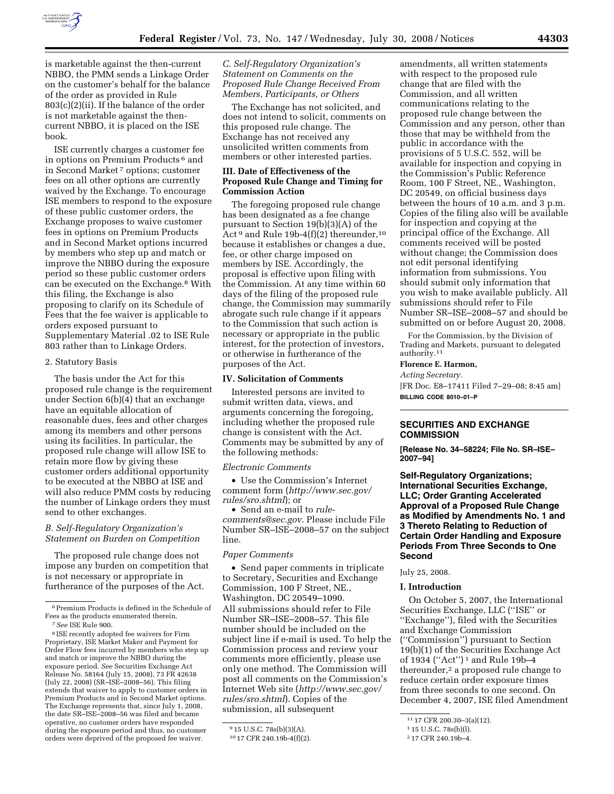

is marketable against the then-current NBBO, the PMM sends a Linkage Order on the customer's behalf for the balance of the order as provided in Rule 803(c)(2)(ii). If the balance of the order is not marketable against the thencurrent NBBO, it is placed on the ISE book.

ISE currently charges a customer fee in options on Premium Products 6 and in Second Market 7 options; customer fees on all other options are currently waived by the Exchange. To encourage ISE members to respond to the exposure of these public customer orders, the Exchange proposes to waive customer fees in options on Premium Products and in Second Market options incurred by members who step up and match or improve the NBBO during the exposure period so these public customer orders can be executed on the Exchange.8 With this filing, the Exchange is also proposing to clarify on its Schedule of Fees that the fee waiver is applicable to orders exposed pursuant to Supplementary Material .02 to ISE Rule 803 rather than to Linkage Orders.

### 2. Statutory Basis

The basis under the Act for this proposed rule change is the requirement under Section 6(b)(4) that an exchange have an equitable allocation of reasonable dues, fees and other charges among its members and other persons using its facilities. In particular, the proposed rule change will allow ISE to retain more flow by giving these customer orders additional opportunity to be executed at the NBBO at ISE and will also reduce PMM costs by reducing the number of Linkage orders they must send to other exchanges.

### *B. Self-Regulatory Organization's Statement on Burden on Competition*

The proposed rule change does not impose any burden on competition that is not necessary or appropriate in furtherance of the purposes of the Act.

# *C. Self-Regulatory Organization's Statement on Comments on the Proposed Rule Change Received From Members, Participants, or Others*

The Exchange has not solicited, and does not intend to solicit, comments on this proposed rule change. The Exchange has not received any unsolicited written comments from members or other interested parties.

### **III. Date of Effectiveness of the Proposed Rule Change and Timing for Commission Action**

The foregoing proposed rule change has been designated as a fee change pursuant to Section 19(b)(3)(A) of the Act<sup>9</sup> and Rule 19b-4(f)(2) thereunder,<sup>10</sup> because it establishes or changes a due, fee, or other charge imposed on members by ISE. Accordingly, the proposal is effective upon filing with the Commission. At any time within 60 days of the filing of the proposed rule change, the Commission may summarily abrogate such rule change if it appears to the Commission that such action is necessary or appropriate in the public interest, for the protection of investors, or otherwise in furtherance of the purposes of the Act.

#### **IV. Solicitation of Comments**

Interested persons are invited to submit written data, views, and arguments concerning the foregoing, including whether the proposed rule change is consistent with the Act. Comments may be submitted by any of the following methods:

#### *Electronic Comments*

• Use the Commission's Internet comment form (*http://www.sec.gov/ rules/sro.shtml*); or

• Send an e-mail to *rulecomments@sec.gov*. Please include File Number SR–ISE–2008–57 on the subject line.

#### *Paper Comments*

• Send paper comments in triplicate to Secretary, Securities and Exchange Commission, 100 F Street, NE., Washington, DC 20549–1090. All submissions should refer to File Number SR–ISE–2008–57. This file number should be included on the subject line if e-mail is used. To help the Commission process and review your comments more efficiently, please use only one method. The Commission will post all comments on the Commission's Internet Web site (*http://www.sec.gov/ rules/sro.shtml*). Copies of the submission, all subsequent

amendments, all written statements with respect to the proposed rule change that are filed with the Commission, and all written communications relating to the proposed rule change between the Commission and any person, other than those that may be withheld from the public in accordance with the provisions of 5 U.S.C. 552, will be available for inspection and copying in the Commission's Public Reference Room, 100 F Street, NE., Washington, DC 20549, on official business days between the hours of 10 a.m. and 3 p.m. Copies of the filing also will be available for inspection and copying at the principal office of the Exchange. All comments received will be posted without change; the Commission does not edit personal identifying information from submissions. You should submit only information that you wish to make available publicly. All submissions should refer to File Number SR–ISE–2008–57 and should be submitted on or before August 20, 2008.

For the Commission, by the Division of Trading and Markets, pursuant to delegated authority.11

# **Florence E. Harmon,**

*Acting Secretary.*  [FR Doc. E8–17411 Filed 7–29–08; 8:45 am] **BILLING CODE 8010–01–P** 

### **SECURITIES AND EXCHANGE COMMISSION**

**[Release No. 34–58224; File No. SR–ISE– 2007–94]** 

**Self-Regulatory Organizations; International Securities Exchange, LLC; Order Granting Accelerated Approval of a Proposed Rule Change as Modified by Amendments No. 1 and 3 Thereto Relating to Reduction of Certain Order Handling and Exposure Periods From Three Seconds to One Second** 

### July 25, 2008.

#### **I. Introduction**

On October 5, 2007, the International Securities Exchange, LLC (''ISE'' or ''Exchange''), filed with the Securities and Exchange Commission (''Commission'') pursuant to Section 19(b)(1) of the Securities Exchange Act of 1934 (''Act'') 1 and Rule 19b–4 thereunder,<sup>2</sup> a proposed rule change to reduce certain order exposure times from three seconds to one second. On December 4, 2007, ISE filed Amendment

<sup>6</sup>Premium Products is defined in the Schedule of Fees as the products enumerated therein.

<sup>7</sup>*See* ISE Rule 900.

<sup>8</sup> ISE recently adopted fee waivers for Firm Proprietary, ISE Market Maker and Payment for Order Flow fees incurred by members who step up and match or improve the NBBO during the exposure period. *See* Securities Exchange Act Release No. 58164 (July 15, 2008), 73 FR 42638 (July 22, 2008) (SR–ISE–2008–56). This filing extends that waiver to apply to customer orders in Premium Products and in Second Market options. The Exchange represents that, since July 1, 2008, the date SR–ISE–2008–56 was filed and became operative, no customer orders have responded during the exposure period and thus, no customer orders were deprived of the proposed fee waiver.

<sup>9</sup> 15 U.S.C. 78s(b)(3)(A).

<sup>10</sup> 17 CFR 240.19b-4(f)(2).

<sup>11</sup> 17 CFR 200.30–3(a)(12).

<sup>1</sup> 15 U.S.C. 78s(b)(l).

<sup>2</sup> 17 CFR 240.19b–4.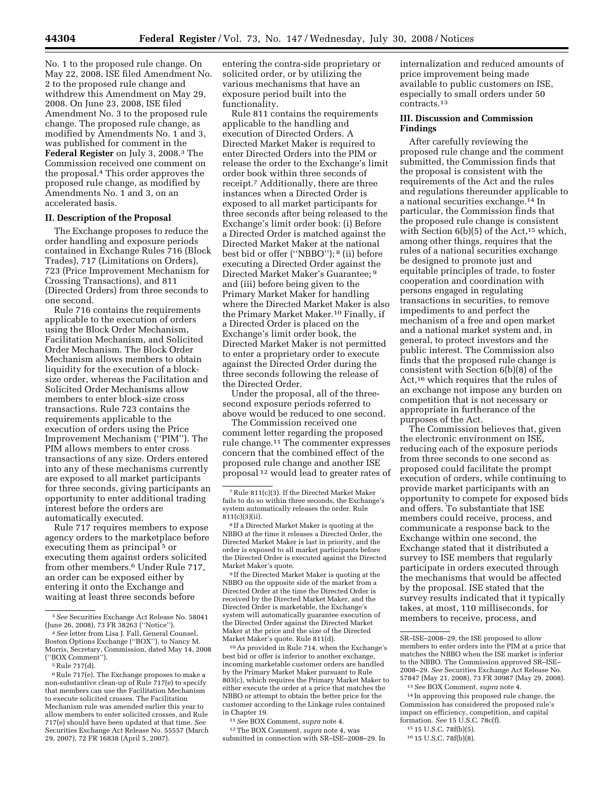No. 1 to the proposed rule change. On May 22, 2008, ISE filed Amendment No. 2 to the proposed rule change and withdrew this Amendment on May 29, 2008. On June 23, 2008, ISE filed Amendment No. 3 to the proposed rule change. The proposed rule change, as modified by Amendments No. 1 and 3, was published for comment in the **Federal Register** on July 3, 2008.3 The Commission received one comment on the proposal.4 This order approves the proposed rule change, as modified by Amendments No. 1 and 3, on an accelerated basis.

#### **II. Description of the Proposal**

The Exchange proposes to reduce the order handling and exposure periods contained in Exchange Rules 716 (Block Trades), 717 (Limitations on Orders), 723 (Price Improvement Mechanism for Crossing Transactions), and 811 (Directed Orders) from three seconds to one second.

Rule 716 contains the requirements applicable to the execution of orders using the Block Order Mechanism, Facilitation Mechanism, and Solicited Order Mechanism. The Block Order Mechanism allows members to obtain liquidity for the execution of a blocksize order, whereas the Facilitation and Solicited Order Mechanisms allow members to enter block-size cross transactions. Rule 723 contains the requirements applicable to the execution of orders using the Price Improvement Mechanism (''PIM''). The PIM allows members to enter cross transactions of any size. Orders entered into any of these mechanisms currently are exposed to all market participants for three seconds, giving participants an opportunity to enter additional trading interest before the orders are automatically executed.

Rule 717 requires members to expose agency orders to the marketplace before executing them as principal<sup>5</sup> or executing them against orders solicited from other members.6 Under Rule 717, an order can be exposed either by entering it onto the Exchange and waiting at least three seconds before

entering the contra-side proprietary or solicited order, or by utilizing the various mechanisms that have an exposure period built into the functionality.

Rule 811 contains the requirements applicable to the handling and execution of Directed Orders. A Directed Market Maker is required to enter Directed Orders into the PIM or release the order to the Exchange's limit order book within three seconds of receipt.7 Additionally, there are three instances when a Directed Order is exposed to all market participants for three seconds after being released to the Exchange's limit order book: (i) Before a Directed Order is matched against the Directed Market Maker at the national best bid or offer (''NBBO''); 8 (ii) before executing a Directed Order against the Directed Market Maker's Guarantee; 9 and (iii) before being given to the Primary Market Maker for handling where the Directed Market Maker is also the Primary Market Maker.10 Finally, if a Directed Order is placed on the Exchange's limit order book, the Directed Market Maker is not permitted to enter a proprietary order to execute against the Directed Order during the three seconds following the release of the Directed Order.

Under the proposal, all of the threesecond exposure periods referred to above would be reduced to one second.

The Commission received one comment letter regarding the proposed rule change.11 The commenter expresses concern that the combined effect of the proposed rule change and another ISE proposal 12 would lead to greater rates of

9 If the Directed Market Maker is quoting at the NBBO on the opposite side of the market from a Directed Order at the time the Directed Order is received by the Directed Market Maker, and the Directed Order is marketable, the Exchange's system will automatically guarantee execution of the Directed Order against the Directed Market Maker at the price and the size of the Directed Market Maker's quote. Rule 811(d).

10As provided in Rule 714, when the Exchange's best bid or offer is inferior to another exchange, incoming marketable customer orders are handled by the Primary Market Maker pursuant to Rule 803(c), which requires the Primary Market Maker to either execute the order at a price that matches the NBBO or attempt to obtain the better price for the customer according to the Linkage rules contained in Chapter 19.

11*See* BOX Comment, *supra* note 4.

12The BOX Comment, *supra* note 4, was submitted in connection with SR–ISE–2008–29. In internalization and reduced amounts of price improvement being made available to public customers on ISE, especially to small orders under 50 contracts.13

#### **III. Discussion and Commission Findings**

After carefully reviewing the proposed rule change and the comment submitted, the Commission finds that the proposal is consistent with the requirements of the Act and the rules and regulations thereunder applicable to a national securities exchange.14 In particular, the Commission finds that the proposed rule change is consistent with Section  $6(b)(5)$  of the Act,<sup>15</sup> which, among other things, requires that the rules of a national securities exchange be designed to promote just and equitable principles of trade, to foster cooperation and coordination with persons engaged in regulating transactions in securities, to remove impediments to and perfect the mechanism of a free and open market and a national market system and, in general, to protect investors and the public interest. The Commission also finds that the proposed rule change is consistent with Section 6(b)(8) of the Act,16 which requires that the rules of an exchange not impose any burden on competition that is not necessary or appropriate in furtherance of the purposes of the Act.

The Commission believes that, given the electronic environment on ISE, reducing each of the exposure periods from three seconds to one second as proposed could facilitate the prompt execution of orders, while continuing to provide market participants with an opportunity to compete for exposed bids and offers. To substantiate that ISE members could receive, process, and communicate a response back to the Exchange within one second, the Exchange stated that it distributed a survey to ISE members that regularly participate in orders executed through the mechanisms that would be affected by the proposal. ISE stated that the survey results indicated that it typically takes, at most, 110 milliseconds, for members to receive, process, and

14 In approving this proposed rule change, the Commission has considered the proposed rule's impact on efficiency, competition, and capital formation. *See* 15 U.S.C. 78c(f).

15 15 U.S.C. 78f(b)(5).

<sup>3</sup>*See* Securities Exchange Act Release No. 58041

<sup>&</sup>lt;sup>4</sup> See letter from Lisa J. Fall, General Counsel, Boston Options Exchange (''BOX''), to Nancy M. Morris, Secretary, Commission, dated May 14, 2008 (''BOX Comment'').

<sup>5</sup>Rule 717(d).

<sup>&</sup>lt;sup>6</sup> Rule 717(e). The Exchange proposes to make a non-substantive clean-up of Rule 717(e) to specify that members can use the Facilitation Mechanism to execute solicited crosses. The Facilitation Mechanism rule was amended earlier this year to allow members to enter solicited crosses, and Rule 717(e) should have been updated at that time. *See*  Securities Exchange Act Release No. 55557 (March 29, 2007), 72 FR 16838 (April 5, 2007).

<sup>7</sup>Rule 811(c)(3). If the Directed Market Maker fails to do so within three seconds, the Exchange's system automatically releases the order. Rule 811(c)(3)(ii).

<sup>8</sup> If a Directed Market Maker is quoting at the NBBO at the time it releases a Directed Order, the Directed Market Maker is last in priority, and the order is exposed to all market participants before the Directed Order is executed against the Directed Market Maker's quote.

SR–ISE–2008–29, the ISE proposed to allow members to enter orders into the PIM at a price that matches the NBBO when the ISE market is inferior to the NBBO. The Commission approved SR–ISE– 2008–29. *See* Securities Exchange Act Release No. 57847 (May 21, 2008), 73 FR 30987 (May 29, 2008).

<sup>13</sup>*See* BOX Comment, *supra* note 4.

<sup>16</sup> 15 U.S.C. 78f(b)(8).